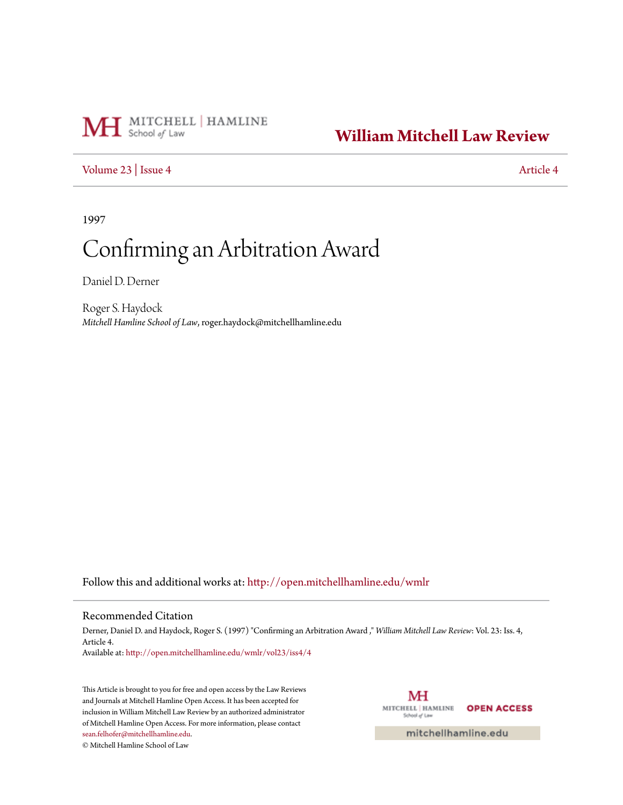# MH School of Law | HAMLINE

## **[William Mitchell Law Review](http://open.mitchellhamline.edu/wmlr?utm_source=open.mitchellhamline.edu%2Fwmlr%2Fvol23%2Fiss4%2F4&utm_medium=PDF&utm_campaign=PDFCoverPages)**

## [Volume 23](http://open.mitchellhamline.edu/wmlr/vol23?utm_source=open.mitchellhamline.edu%2Fwmlr%2Fvol23%2Fiss4%2F4&utm_medium=PDF&utm_campaign=PDFCoverPages) | [Issue 4](http://open.mitchellhamline.edu/wmlr/vol23/iss4?utm_source=open.mitchellhamline.edu%2Fwmlr%2Fvol23%2Fiss4%2F4&utm_medium=PDF&utm_campaign=PDFCoverPages) [Article 4](http://open.mitchellhamline.edu/wmlr/vol23/iss4/4?utm_source=open.mitchellhamline.edu%2Fwmlr%2Fvol23%2Fiss4%2F4&utm_medium=PDF&utm_campaign=PDFCoverPages)

1997

## Confirming an Arbitration Award

Daniel D. Derner

Roger S. Haydock *Mitchell Hamline School of Law*, roger.haydock@mitchellhamline.edu

Follow this and additional works at: [http://open.mitchellhamline.edu/wmlr](http://open.mitchellhamline.edu/wmlr?utm_source=open.mitchellhamline.edu%2Fwmlr%2Fvol23%2Fiss4%2F4&utm_medium=PDF&utm_campaign=PDFCoverPages)

#### Recommended Citation

Derner, Daniel D. and Haydock, Roger S. (1997) "Confirming an Arbitration Award ," *William Mitchell Law Review*: Vol. 23: Iss. 4, Article 4.

Available at: [http://open.mitchellhamline.edu/wmlr/vol23/iss4/4](http://open.mitchellhamline.edu/wmlr/vol23/iss4/4?utm_source=open.mitchellhamline.edu%2Fwmlr%2Fvol23%2Fiss4%2F4&utm_medium=PDF&utm_campaign=PDFCoverPages)

This Article is brought to you for free and open access by the Law Reviews and Journals at Mitchell Hamline Open Access. It has been accepted for inclusion in William Mitchell Law Review by an authorized administrator of Mitchell Hamline Open Access. For more information, please contact [sean.felhofer@mitchellhamline.edu](mailto:sean.felhofer@mitchellhamline.edu).

© Mitchell Hamline School of Law

MH MITCHELL | HAMLINE **OPEN ACCESS** School of Law

mitchellhamline.edu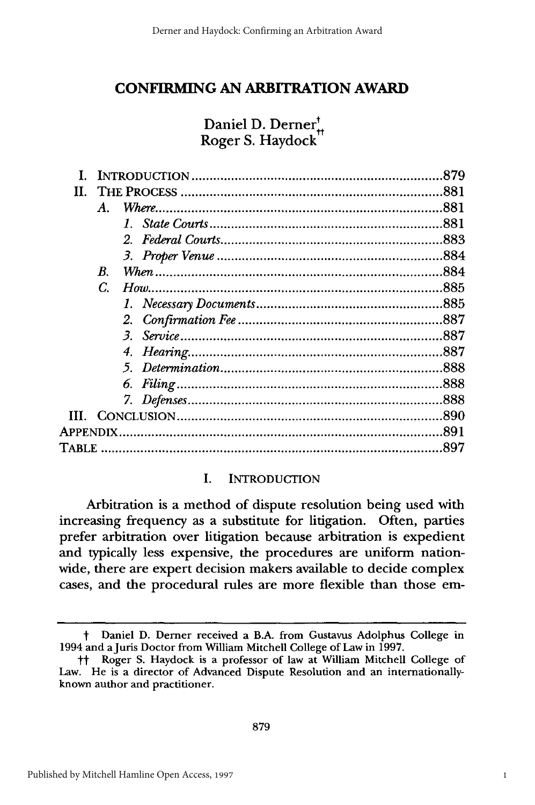## **CONFIRMING AN ARBITRATION AWARD**

## Daniel D. Derner<sup>t</sup><sub>#</sub> Roger S. Haydock

| В. |  |
|----|--|
| C. |  |
|    |  |
|    |  |
|    |  |
|    |  |
|    |  |
|    |  |
|    |  |
|    |  |
|    |  |
|    |  |
|    |  |

#### I. INTRODUCTION

Arbitration is a method of dispute resolution being used with increasing frequency as a substitute for litigation. Often, parties prefer arbitration over litigation because arbitration is expedient and typically less expensive, the procedures are uniform nationwide, there are expert decision makers available to decide complex cases, and the procedural rules are more flexible than those em-

t Daniel D. Derner received a B.A. from Gustavus Adolphus College in 1994 and a Juris Doctor from William Mitchell College of Law in 1997.

tt Roger S. Haydock is a professor of law at William Mitchell College of Law. He is a director of Advanced Dispute Resolution and an internationallyknown author and practitioner.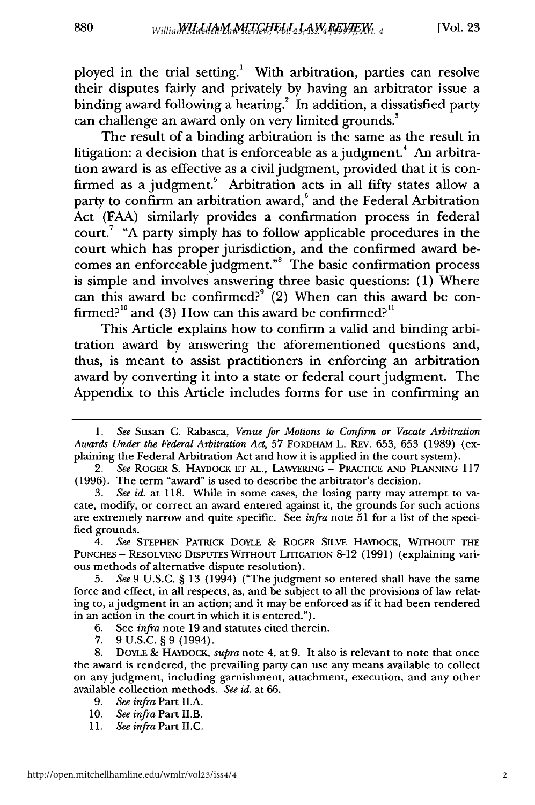ployed in the trial setting.' With arbitration, parties can resolve their disputes fairly and privately **by** having an arbitrator issue a binding award following a hearing.<sup>2</sup> In addition, a dissatisfied party can challenge an award only on very limited grounds.

The result of a binding arbitration is the same as the result in litigation: a decision that is enforceable as a judgment.<sup>4</sup> An arbitration award is as effective as a civil judgment, provided that it is confirmed as a judgment.<sup>5</sup> Arbitration acts in all fifty states allow a party to confirm an arbitration award,<sup>6</sup> and the Federal Arbitration Act (FAA) similarly provides a confirmation process in federal court.7 "A party simply has to follow applicable procedures in the court which has proper jurisdiction, and the confirmed award becomes an enforceable judgment."" The basic confirmation process is simple and involves answering three basic questions: (1) Where can this award be confirmed?<sup>9</sup> (2) When can this award be confirmed?<sup>10</sup> and (3) How can this award be confirmed?<sup>11</sup>

This Article explains how to confirm a valid and binding arbitration award by answering the aforementioned questions and, thus, is meant to assist practitioners in enforcing an arbitration award by converting it into a state or federal court judgment. The Appendix to this Article includes forms for use in confirming an

7. 9 U.S.C. § 9 (1994).

8. DOYLE & HAYDOCK, *supra* note 4, at 9. It also is relevant to note that once the award is rendered, the prevailing party can use any means available to collect on any judgment, including garnishment, attachment, execution, and any other available collection methods. *See id.* at 66.

- *9. See infra* Part II.A.
- 10. *See infra* Part II.B.
- *11. See infra* Part **II.C.**

*<sup>1.</sup> See* Susan C. Rabasca, *Venue for Motions to Confirm or Vacate Arbitration Awards Under the Federal Arbitration Act,* 57 FORDHAM L. REv. 653, 653 (1989) (explaining the Federal Arbitration Act and how it is applied in the court system).

*<sup>2.</sup> See* ROGER S. HAYDOCK ET AL., LAWYERING **-** PRACTICE AND PLANNING 117 (1996). The term "award" is used to describe the arbitrator's decision.

*<sup>3.</sup> See id.* at 118. While in some cases, the losing party may attempt to vacate, modify, or correct an award entered against it, the grounds for such actions are extremely narrow and quite specific. See *infra* note 51 for a list of the specified grounds.

*<sup>4.</sup> See* STEPHEN PATRICK DOYLE & ROGER SILvE HAYDocK, WITHOUT THE PUNCHES - RESOLVING DISPUTES WITHOUT LITIGATION 8-12 (1991) (explaining various methods of alternative dispute resolution).

*<sup>5.</sup> See* 9 U.S.C. § 13 (1994) ("The judgment so entered shall have the same force and effect, in all respects, as, and be subject to all the provisions of law relating to, ajudgment in an action; and it may be enforced as if it had been rendered in an action in the court in which it is entered.").

<sup>6.</sup> See *infra* note 19 and statutes cited therein.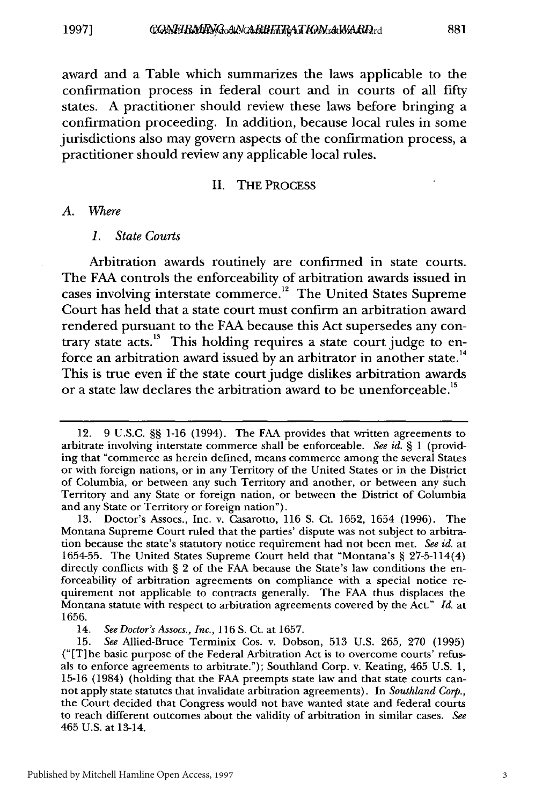award and a Table which summarizes the laws applicable to the confirmation process in federal court and in courts of all fifty states. A practitioner should review these laws before bringing a confirmation proceeding. In addition, because local rules in some jurisdictions also may govern aspects of the confirmation process, a practitioner should review any applicable local rules.

#### **II.** THE **PROCESS**

*A. Where*

#### *1. State Courts*

Arbitration awards routinely are confirmed in state courts. The FAA controls the enforceability of arbitration awards issued in cases involving interstate commerce.<sup>12</sup> The United States Supreme Court has held that a state court must confirm an arbitration award rendered pursuant to the FAA because this Act supersedes any contrary state acts.<sup>13</sup> This holding requires a state court judge to enforce an arbitration award issued by an arbitrator in another state.<sup>14</sup> This is true even if the state court judge dislikes arbitration awards or a state law declares the arbitration award to be unenforceable.<sup>15</sup>

3

<sup>12. 9</sup> U.S.C. §§ 1-16 (1994). The FAA provides that written agreements to arbitrate involving interstate commerce shall be enforceable. *See id.* § 1 (providing that "commerce as herein defined, means commerce among the several States or with foreign nations, or in any Territory of the United States or in the District of Columbia, or between any such Territory and another, or between any such Territory and any State or foreign nation, or between the District of Columbia and any State or Territory or foreign nation").

<sup>13.</sup> Doctor's Assocs., Inc. v. Casarotto, 116 **S.** Ct. 1652, 1654 (1996). The Montana Supreme Court ruled that the parties' dispute was not subject to arbitration because the state's statutory notice requirement had not been met. *See id.* at 1654-55. The United States Supreme Court held that "Montana's § 27-5-114(4) directly conflicts with § 2 of the FAA because the State's law conditions the enforceability of arbitration agreements on compliance with a special notice requirement not applicable to contracts generally. The FAA thus displaces the Montana statute with respect to arbitration agreements covered by the Act." *Id.* at 1656.

<sup>14.</sup> *See Doctor's Assocs., Inc.,* 116 S. Ct. at 1657.

<sup>15.</sup> *See* Allied-Bruce Terminix Cos. v. Dobson, 513 U.S. 265, 270 (1995) ("[T] he basic purpose of the Federal Arbitration Act is to overcome courts' refusals to enforce agreements to arbitrate."); Southland Corp. v. Keating, 465 U.S. 1, 15-16 (1984) (holding that the FAA preempts state law and that state courts cannot apply state statutes that invalidate arbitration agreements). In *Southland Corp.,* the Court decided that Congress would not have wanted state and federal courts to reach different outcomes about the validity of arbitration in similar cases. *See* 465 U.S. at 13-14.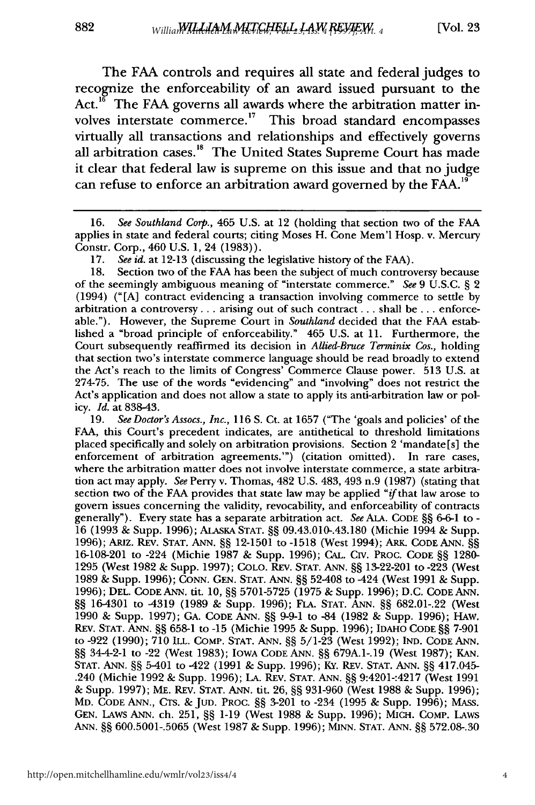The FAA controls and requires all state and federal judges to recognize the enforceability of an award issued pursuant to the  $Act.<sup>16</sup>$  The FAA governs all awards where the arbitration matter involves interstate commerce.<sup>17</sup> This broad standard encompasses virtually all transactions and relationships and effectively governs all arbitration cases.<sup>18</sup> The United States Supreme Court has made it clear that federal law is supreme on this issue and that no judge can refuse to enforce an arbitration award governed by the **FAA. <sup>19</sup>**

18. Section two of the FAA has been the subject of much controversy because of the seemingly ambiguous meaning of "interstate commerce." *See* 9 U.S.C. § 2 (1994) ("[A] contract evidencing a transaction involving commerce to settle by arbitration a controversy... arising out of such contract.., shall be... enforceable."). However, the Supreme Court in *Southland* decided that the FAA established a "broad principle of enforceability." 465 U.S. at 11. Furthermore, the Court subsequently reaffirmed its decision in *Allied-Bruce Terminix Cos.,* holding that section two's interstate commerce language should be read broadly to extend the Act's reach to the limits of Congress' Commerce Clause power. 513 U.S. at 274-75. The use of the words "evidencing" and "involving" does not restrict the Act's application and does not allow a state to apply its anti-arbitration law or policy. *Id.* at 838-43.

19. *See Doctor's Assocs., Inc.,* 116 S. Ct. at 1657 ("The 'goals and policies' of the FAA, this Court's precedent indicates, are antithetical to threshold limitations placed specifically and solely on arbitration provisions. Section 2 'mandate [s] the enforcement of arbitration agreements.'") (citation omitted). In rare cases, where the arbitration matter does not involve interstate commerce, a state arbitration act may apply. *See* Perry v. Thomas, 482 U.S. 483, 493 n.9 (1987) (stating that section two of the FAA provides that state law may be applied "if that law arose to govern issues concerning the validity, revocability, and enforceability of contracts generally"). Every state has a separate arbitration act. *See* ALA. CODE §§ 6-6-1 to - 16 (1993 & Supp. 1996); ALAsKA STAT. §§ 09.43.010-.43.180 (Michie 1994 & Supp. 1996); ARIz. REV. **STAT. ANN.** §§ 12-1501 to -1518 (West 1994); ARK. CODE ANN. §§ 16-108-201 to -224 (Michie 1987 & Supp. 1996); CAL. Civ. PROC. CODE §§ 1280- 1295 (West 1982 & Supp. 1997); COLO. REv. STAT. ANN. §§ 13-22-201 to -223 (West 1989 & Supp. 1996); CONN. GEN. STAT. ANN. §§ 52-408 to -424 (West 1991 & Supp. 1996); **DEL.** CODE ANN. tit. 10, §§ 5701-5725 (1975 & Supp. 1996); D.C. CODE ANN. §§ 16-4301 to -4319 (1989 & Supp. 1996); FLA. **STAT.** ANN. §§ 682.01-.22 (West 1990 & Supp. 1997); GA. CODE ANN. §§ 9-9-1 to -84 (1982 & Supp. 1996); HAW. REV. **STAT.** ANN. §§ 658-1 to -15 (Michie 1995 & Supp. 1996); IDAHO CODE §§ 7-901 to -922 (1990); 710 ILL. COMP. STAT. ANN. §§ 5/1-23 (West 1992); **IND.** CODE ANN. §§ 34-4-2-1 to -22 (West 1983); IOWA CODE ANN. §§ 679A.1-.19 (West 1987); KAN. **STAT.** ANN. §§ 5-401 to -422 (1991 & Supp. 1996); KY. REV. **STAT.** ANN. §§ 417.045- .240 (Michie 1992 & Supp. 1996); **LA.** REV. STAT. ANN. §§ 9:4201-:4217 (West 1991 & Supp. 1997); ME. REv. STAT. ANN. tit. 26, §§ 931-960 (West 1988 & Supp. 1996); MD. CODE ANN., CTS. & JUD. PROC. §§ 3-201 to -234 (1995 & Supp. 1996); MASS. GEN. LAwS ANN. ch. 251, §§ 1-19 (West 1988 & Supp. 1996); MICH. COMP. LAWS ANN. §§ 600.5001-.5065 (West 1987 & Supp. 1996); MINN. **STAT.** ANN. §§ 572.08-.30

<sup>16.</sup> *See Southland Corp.,* 465 **U.S.** at 12 (holding that section two of the **FAA** applies in state and federal courts; citing Moses H. Cone Mem'l Hosp. v. Mercury Constr. Corp., 460 U.S. 1, 24 (1983)).

<sup>17.</sup> *See id.* at 12-13 (discussing the legislative history of the FAA).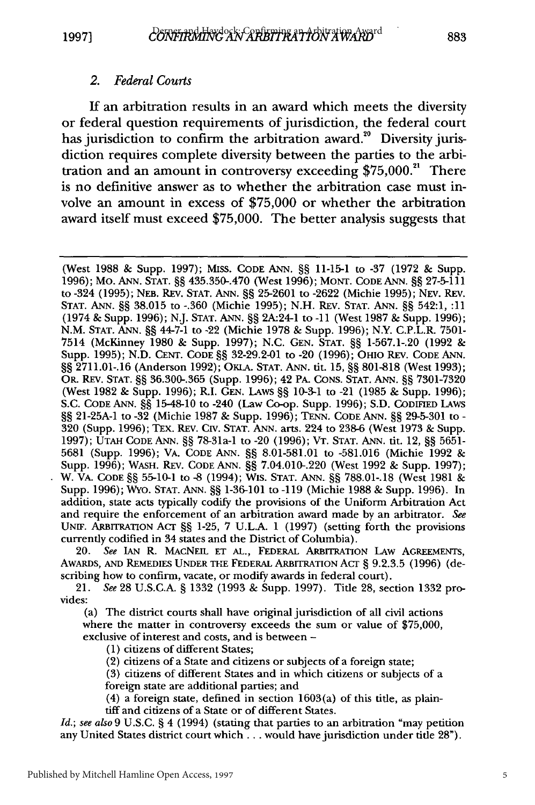#### *2. Federal Courts*

If an arbitration results in an award which meets the diversity or federal question requirements of jurisdiction, the federal court has jurisdiction to confirm the arbitration award.<sup>20</sup> Diversity jurisdiction requires complete diversity between the parties to the arbitration and an amount in controversy exceeding  $$75,000$ .<sup>21</sup> There is no definitive answer as to whether the arbitration case must involve an amount in excess of \$75,000 or whether the arbitration award itself must exceed \$75,000. The better analysis suggests that

(West 1988 & Supp. 1997); MISS. CODE **ANN.** §§ 11-15-1 to -37 (1972 & Supp. 1996); Mo. **ANN. STAT.** §§ 435.350-.470 (West 1996); **MONT. CODE ANN.** §§ 27-5-111 to -324 (1995); **NEB.** REv. **STAT. ANN.** §§ 25-2601 to -2622 (Michie 1995); NEV. REV. **STAT. ANN.** §§ 38.015 to -.360 (Michie 1995); N.H. REV. **STAT. ANN.** §§ 542:1, :11 (1974 & Supp. 1996); N.J. **STAT. ANN.** §§ 2A:24-1 to **-11** (West 1987 & Supp. 1996); N.M. **STAT. ANN.** §§ 44-7-1 to -22 (Michie 1978 & Supp. 1996); N.Y. C.P.L.R. 7501- 7514 (McKinney 1980 & Supp. 1997); N.C. **GEN. STAT.** §§ 1-567.1-.20 (1992 & Supp. 1995); N.D. CENT. **CODE** §§ 32-29.2-01 to -20 (1996); OHIO REV. **CODE ANN.** §§ 2711.01-.16 (Anderson 1992); OKLA. STAT. ANN. tit. 15, §§ 801-818 (West 1993); OR. REv. STAT. §§ 36.300-.365 (Supp. 1996); 42 PA. **CONS. STAT. ANN.** §§ 7301-7320 (West 1982 & Supp. 1996); R.I. GEN. **LAWS** §§ 10-3-1 to -21 (1985 & Supp. 1996); S.C. CODE **ANN.** §§ 15-48-10 to -240 (Law Co-op. Supp. 1996); S.D. **CODIFIED** LAWS §§ 21-25A-1 to -32 (Michie 1987 & Supp. 1996); **TENN.** CODE **ANN.** §§ 29-5-301 to **-** 320 (Supp. 1996); TEx. REV. Civ. **STAT.** ANN. arts. 224 to 238-6 (West 1973 & Supp. 1997); **UTAH CODE ANN.** §§ 78-31a-1 to -20 (1996); VT. **STAT. ANN.** tit. 12, §§ 5651- 5681 (Supp. 1996); VA. CODE ANN. §§ 8.01-581.01 to -581.016 (Michie 1992 & Supp. 1996); WASH. REV. CODE **ANN.** §§ 7.04.010-.220 (West 1992 & Supp. 1997); W. VA. **CODE** §§ 55-10-1 to -8 (1994); Wis. **STAT. ANN.** §§ 788.01-.18 (West 1981 & Supp. 1996); Wyo. **STAT. ANN.** §§ 1-36-101 to -119 (Michie 1988 & Supp. 1996). In addition, state acts typically codify the provisions of the Uniform Arbitration Act and require the enforcement of an arbitration award made by an arbitrator. *See* **UNrF.** ARBIrRATION **Acr** §§ 1-25, 7 U.L.A. 1 (1997) (setting forth the provisions currently codified in 34 states and the District of Columbia).

20. *See* **IAN** R. MACNEIL **ET AL.,** FEDERAL ARBITRATION **LAw AGREEMENTS,** AWARDS, **AND** REMEDIES **UNDER THE** FEDERAL ARBrrRATION **Acr** § 9.2.3.5 (1996) (describing how to confirm, vacate, or modify awards in federal court).

21. *See* **28** U.S.C.A. § 1332 (1993 **&** Supp. 1997). Title **28,** section **1332** provides:

(a) The district courts shall have original jurisdiction of all civil actions where the matter in controversy exceeds the sum or value of \$75,000, exclusive of interest and costs, and is between -

(1) citizens of different States;

(2) citizens of a State and citizens or subjects of a foreign state;

**(3)** citizens of different States and in which citizens or subjects of a foreign state are additional parties; and

(4) a foreign state, defined in section 1603(a) of this title, as plaintiff and citizens of a State or of different States.

*Id.; see also* 9 U.S.C. § 4 (1994) (stating that parties to an arbitration "may petition any United States district court which.., would have jurisdiction under **title 28").**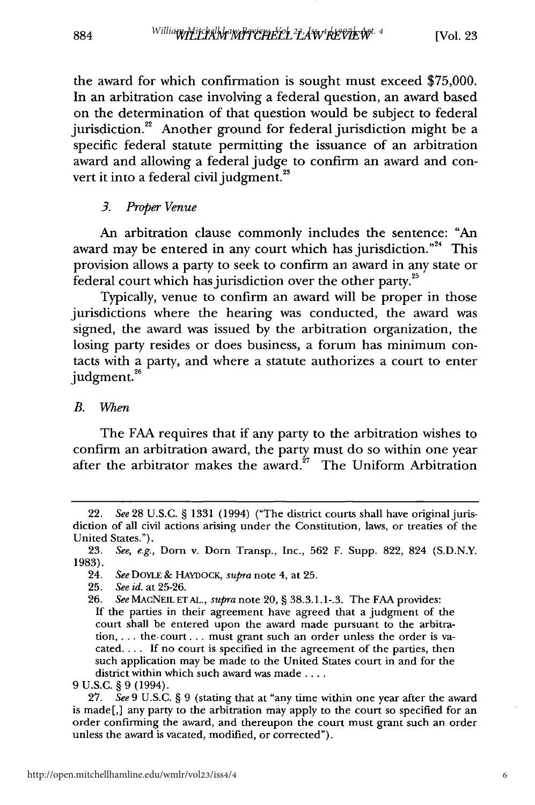the award for which confirmation is sought must exceed **\$75,000.** In an arbitration case involving a federal question, an award based on the determination of that question would be subject to federal jurisdiction. $22$  Another ground for federal jurisdiction might be a specific federal statute permitting the issuance of an arbitration award and allowing a federal judge to confirm an award and convert it into a federal civil judgment.<sup>23</sup>

#### *3. Proper Venue*

An arbitration clause commonly includes the sentence: "An award may be entered in any court which has jurisdiction."<sup>24</sup> This provision allows a party to seek to confirm an award in any state or federal court which has jurisdiction over the other party. $^{2}$ 

Typically, venue to confirm an award will be proper in those jurisdictions where the hearing was conducted, the award was signed, the award was issued **by** the arbitration organization, the losing party resides or does business, a forum has minimum contacts with a party, and where a statute authorizes a court to enter judgment.<sup>26</sup>

#### *B. When*

884

The **FAA** requires that if any party to the arbitration wishes to confirm an arbitration award, the party must do so within one year after the arbitrator makes the award. $27$  The Uniform Arbitration

**If** the parties in their agreement have agreed that a judgment of the court shall be entered upon the award made pursuant to the arbitra**tion,...** the.court... must grant such an order unless the order is va**cated .... If** no court is specified in the agreement of the parties, then such application may be made to the United States court in and for the district within which such award was made **....**

**9 U.S.C. § 9** (1994).

**27.** *See* **9 U.S.C. § 9** (stating that at "any time within one year after the award is made[,] any party to the arbitration may apply to the court so specified for an order confirming the award, and thereupon the court must grant such an order unless the award is vacated, modified, or corrected").

<sup>22.</sup> *See* **28 U.S.C. § 1331** (1994) ("The district courts shall have original jurisdiction of all civil actions arising under the Constitution, laws, or treaties of the United States.").

**<sup>23.</sup>** *See, e.g.,* Dorn v. **Dorn** Transp., Inc., **562** F. Supp. **822,** 824 **(S.D.N.Y. 1983).**

<sup>24.</sup> *See* DOYLE & HAYnocK, *supra* note 4, at **25.**

**<sup>25.</sup>** *See id.* at **25-26.**

**<sup>26.</sup>** *See* MACNEIL **ETAL.,** *supra* note 20, **§ 38.3.1.1-.3.** The **FAA** provides: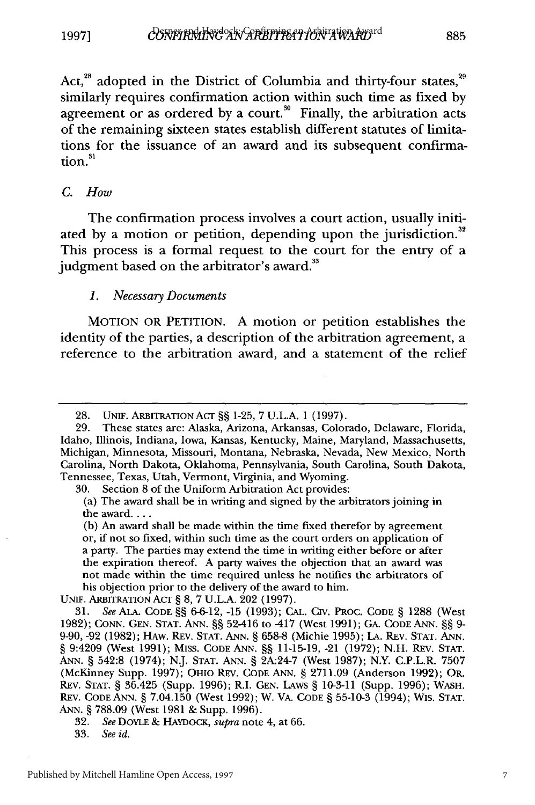Act, $^{28}$  adopted in the District of Columbia and thirty-four states, $^{29}$ similarly requires confirmation action within such time as fixed by agreement or as ordered by a court.<sup>30</sup> Finally, the arbitration acts of the remaining sixteen states establish different statutes of limitations for the issuance of an award and its subsequent confirmation.<sup>31</sup>

#### *C. How*

The confirmation process involves a court action, usually initiated by a motion or petition, depending upon the jurisdiction.<sup>32</sup> This process is a formal request to the court for the entry of a judgment based on the arbitrator's award.<sup>33</sup>

#### *1. Necessary Documents*

**MOTION** OR **PETITION. A** motion or petition establishes the identity of the parties, a description of the arbitration agreement, a reference to the arbitration award, and a statement of the relief

**30.** Section **8** of the Uniform Arbitration Act provides:

UNIF. ARBITRATION ACT § **8, 7 U.L.A.** 202 **(1997).**

**<sup>28.</sup> UNW.** ARBITRATION **ACT §§ 1-25, 7 U.L.A. 1 (1997).**

**<sup>29.</sup>** These states are: Alaska, Arizona, Arkansas, Colorado, Delaware, Florida, Idaho, Illinois, Indiana, Iowa, Kansas, Kentucky, Maine, Maryland, Massachusetts, Michigan, Minnesota, Missouri, Montana, Nebraska, Nevada, New Mexico, North Carolina, North Dakota, Oklahoma, Pennsylvania, South Carolina, South Dakota, Tennessee, Texas, Utah, Vermont, Virginia, and Wyoming.

<sup>(</sup>a) The award shall be in writing and signed **by** the arbitrators joining in the award....

**<sup>(</sup>b)** An award shall be made within the time fixed therefor **by** agreement or, if not so fixed, within such time as the court orders on application of a party. The parties may extend the time in writing either before or after the expiration thereof. **A** party waives the objection that an award was not made within the time required unless he notifies the arbitrators of his objection prior to the delivery of the award to him.

**<sup>31.</sup>** See **ALA. CODE §§ 6-6-12, -15 (1993); CAL. CIV.** PROC. **CODE** § **1288** (West 1982); CONN. GEN. STAT. ANN. §§ 52-416 to -417 (West 1991); GA. CODE ANN. **§§** 9- 9-90, -92 (1982); HAw. REv. STAT. ANN. § 658-8 (Michie 1995); LA. REV. STAT. ANN. § 9:4209 (West 1991); MISS. CODE ANN. **§§** 11-15-19, -21 (1972); N.H. REV. STAT. ANN. § 542:8 (1974); N.J. STAT. ANN. § 2A:24-7 (West 1987); N.Y. C.P.L.R. 7507 (McKinney Supp. 1997); OHIO REV. CODE ANN. § 2711.09 (Anderson 1992); OR. REV. STAT. § 36.425 (Supp. 1996); R.I. GEN. LAws § 10-3-11 (Supp. 1996); WASH. REv. CODE ANN. § 7.04.150 (West 1992); W. VA. CODE § 55-10-3 (1994); Wis. STAT. ANN. § 788.09 (West 1981 & Supp. 1996).

<sup>32.</sup> See DOYLE & HAYDocK, *supra* note 4, at 66.

<sup>33.</sup> *See id.*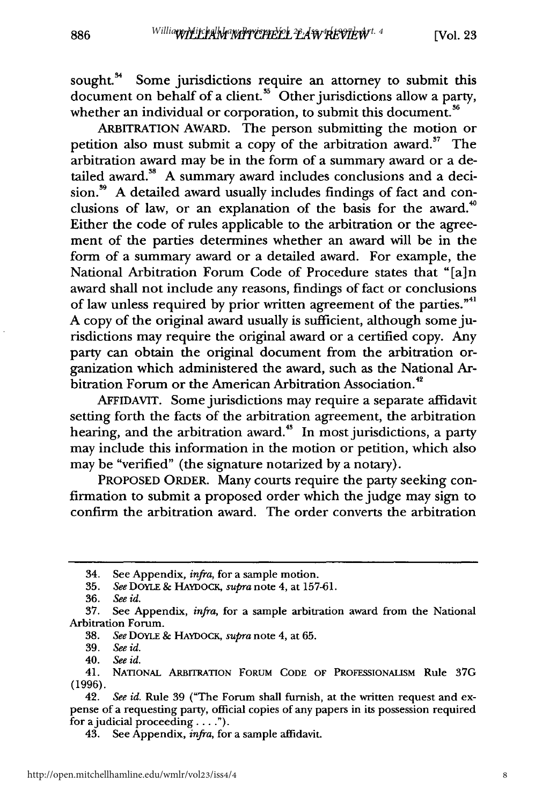sought.<sup>34</sup> Some jurisdictions require an attorney to submit this document on behalf of a client.<sup>35</sup> Other jurisdictions allow a party, whether an individual or corporation, to submit this document.<sup>36</sup>

ARBITRATION AWARD. The person submitting the motion or petition also must submit a copy of the arbitration award.<sup>37</sup> The arbitration award may be in the form of a summary award or a detailed award.<sup>38</sup> A summary award includes conclusions and a decision.<sup>39</sup> A detailed award usually includes findings of fact and conclusions of law, or an explanation of the basis for the award.<sup>40</sup> Either the code of rules applicable to the arbitration or the agreement of the parties determines whether an award will be in the form of a summary award or a detailed award. For example, the National Arbitration Forum Code of Procedure states that "[a] n award shall not include any reasons, findings of fact or conclusions of law unless required by prior written agreement of the parties."<sup>41</sup> A copy of the original award usually is sufficient, although some jurisdictions may require the original award or a certified copy. Any party can obtain the original document from the arbitration organization which administered the award, such as the National Arbitration Forum or the American Arbitration Association.<sup>42</sup>

AFFIDAVIT. Some jurisdictions may require a separate affidavit setting forth the facts of the arbitration agreement, the arbitration hearing, and the arbitration award.<sup>45</sup> In most jurisdictions, a party may include this information in the motion or petition, which also may be "verified" (the signature notarized by a notary).

PROPOSED ORDER. Many courts require the party seeking confirmation to submit a proposed order which the judge may sign to confirm the arbitration award. The order converts the arbitration

<sup>34.</sup> See Appendix, *infra,* for a sample motion.

**<sup>35.</sup>** *See* DOYLE **&** HAYDOcK, *supra* note 4, at **157-61.**

*<sup>36.</sup> See id.*

<sup>37.</sup> See Appendix, *infra,* for a sample arbitration award from the National Arbitration Forum.

<sup>38.</sup> *See* DOYLE & **HAYDOCK,** *supra* note 4, at 65.

<sup>39.</sup> *See id.*

<sup>40.</sup> *See id.*

<sup>41.</sup> NATIONAL ARBITRATION **FORUM CODE OF** PROFESSIONALISM Rule **37G (1996).**

<sup>42.</sup> *See id.* Rule 39 ("The Forum shall furnish, at the written request and expense of a requesting party, official copies of any papers in its possession required for ajudicial proceeding.... .").

<sup>43.</sup> See Appendix, *infra,* for a sample affidavit.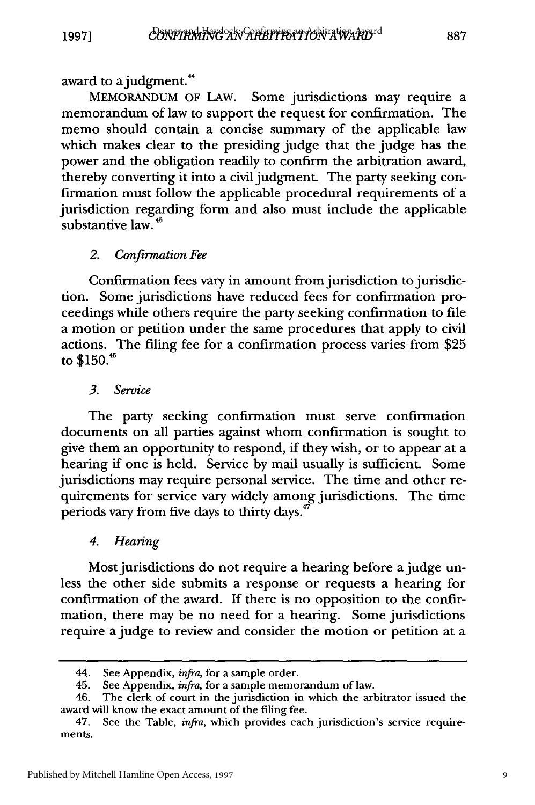**1997]**

award to a judgment.<sup>44</sup>

**MEMORANDUM** OF LAW. Some jurisdictions may require a memorandum of law to support the request for confirmation. The memo should contain a concise summary of the applicable law which makes clear to the presiding judge that the judge has the power and the obligation readily to confirm the arbitration award, thereby converting it into a civil judgment. The party seeking confirmation must follow the applicable procedural requirements of a jurisdiction regarding form and also must include the applicable substantive law. **45**

#### *2. Confirmation Fee*

Confirmation fees vary in amount from jurisdiction to jurisdiction. Some jurisdictions have reduced fees for confirmation proceedings while others require the party seeking confirmation to file a motion or petition under the same procedures that apply to civil actions. The filing fee for a confirmation process varies from **\$25** to  $$150.<sup>46</sup>$ 

*3. Service*

The party seeking confirmation must serve confirmation documents on all parties against whom confirmation is sought to give them an opportunity to respond, if they wish, or to appear at a hearing if one is held. Service by mail usually is sufficient. Some jurisdictions may require personal service. The time and other requirements for service vary widely among jurisdictions. The time periods vary from five days to thirty days. $47$ 

#### *4. Hearing*

Most jurisdictions do not require a hearing before a judge unless the other side submits a response or requests a hearing for confirmation of the award. If there is no opposition to the confirmation, there may be no need for a hearing. Some jurisdictions require a judge to review and consider the motion or petition at a

9

<sup>44.</sup> See Appendix, *infra,* for a sample order.

<sup>45.</sup> See Appendix, *infra,* for a sample memorandum of law.

<sup>46.</sup> The clerk of court in the jurisdiction in which the arbitrator issued the award will know the exact amount of the filing fee.

<sup>47.</sup> See the Table, *infra,* which provides each jurisdiction's service requirements.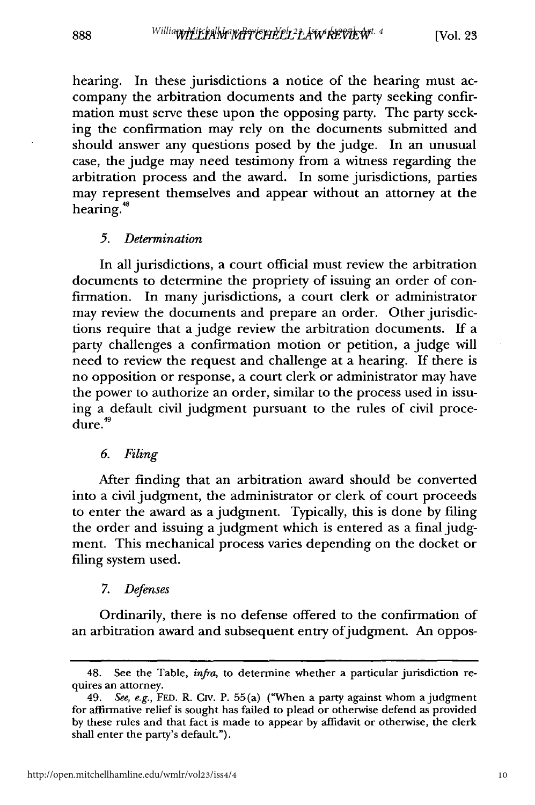hearing. In these jurisdictions a notice of the hearing must accompany the arbitration documents and the party seeking confirmation must serve these upon the opposing party. The party seeking the confirmation may rely on the documents submitted and should answer any questions posed by the judge. In an unusual case, the judge may need testimony from a witness regarding the arbitration process and the award. In some jurisdictions, parties may represent themselves and appear without an attorney at the hearing.<sup>48</sup>

#### *5. Determination*

888

In all jurisdictions, a court official must review the arbitration documents to determine the propriety of issuing an order of confirmation. In many jurisdictions, a court clerk or administrator may review the documents and prepare an order. Other jurisdictions require that a judge review the arbitration documents. If a party challenges a confirmation motion or petition, a judge will need to review the request and challenge at a hearing. If there is no opposition or response, a court clerk or administrator may have the power to authorize an order, similar to the process used in issuing a default civil judgment pursuant to the rules of civil proce $d$ ure. $49$ 

## *6. Filing*

After finding that an arbitration award should be converted into a civil judgment, the administrator or clerk of court proceeds to enter the award as a judgment. Typically, this is done by filing the order and issuing a judgment which is entered as a final judgment. This mechanical process varies depending on the docket or filing system used.

## *7. Defenses*

Ordinarily, there is no defense offered to the confirmation of an arbitration award and subsequent entry of judgment. An oppos-

<sup>48.</sup> See the Table, *infra,* to determine whether a particular jurisdiction requires an attorney.

<sup>49.</sup> *See, e.g.,* FED. R. CIv. P. 55(a) ("When a party against whom a judgment for affirmative relief is sought has failed to plead or otherwise defend as provided by these rules and that fact is made to appear by affidavit or otherwise, the clerk shall enter the party's default.").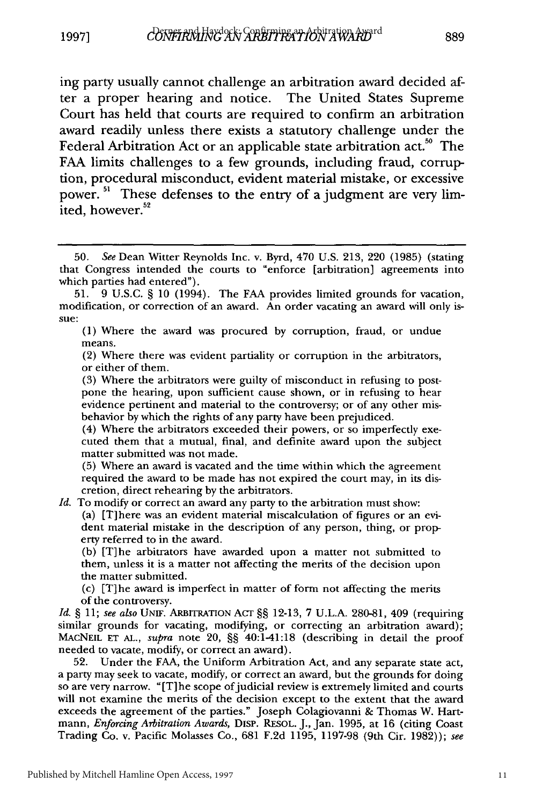ing party usually cannot challenge an arbitration award decided after a proper hearing and notice. The United States Supreme Court has held that courts are required to confirm an arbitration award readily unless there exists a statutory challenge under the Federal Arbitration Act or an applicable state arbitration act.<sup>50</sup> The FAA limits challenges to a few grounds, including fraud, corruption, procedural misconduct, evident material mistake, or excessive power.<sup>51</sup> These defenses to the entry of a judgment are very limited, however.<sup>52</sup>

(1) Where the award was procured by corruption, fraud, or undue means.

(2) Where there was evident partiality or corruption in the arbitrators, or either of them.

(3) Where the arbitrators were guilty of misconduct in refusing to postpone the hearing, upon sufficient cause shown, or in refusing to hear evidence pertinent and material to the controversy; or of any other misbehavior by which the rights of any party have been prejudiced.

(4) Where the arbitrators exceeded their powers, or so imperfectly executed them that a mutual, final, and definite award upon the subject matter submitted was not made.

(5) Where an award is vacated and the time within which the agreement required the award to be made has not expired the court may, in its discretion, direct rehearing by the arbitrators.

*Id.* To modify or correct an award any party to the arbitration must show:

(a) [T]here was an evident material miscalculation of figures or an evident material mistake in the description of any person, thing, or property referred to in the award.

**(b)** [T]he arbitrators have awarded upon a matter not submitted to them, unless it is a matter not affecting the merits of the decision upon the matter submitted.

(c) [T]he award is imperfect in matter of form not affecting the merits of the controversy.

*Id. §* 11; see also **UNIF.** ARBITRATION **AcT** §§ 12-13, **7** U.L.A. 280-81, 409 (requiring similar grounds for vacating, modifying, or correcting an arbitration award); MACNEIL **ET AL.,** *supra* note 20, §§ 40:1-41:18 (describing in detail the proof needed to vacate, modify, or correct an award).

52. Under the FAA, the Uniform Arbitration Act, and any separate state act, a party may seek to vacate, modify, or correct an award, but the grounds for doing so are very narrow. "[T] he scope of judicial review is extremely limited and courts will not examine the merits of the decision except to the extent that the award exceeds the agreement of the parties." Joseph Colagiovanni & Thomas W. Hartmann, *Enforcing Arbitration Awards,* DisP. RESOL. J., Jan. 1995, at 16 (citing Coast Trading Co. v. Pacific Molasses Co., 681 F.2d 1195, 1197-98 (9th Cir. 1982)); *see*

<sup>50.</sup> *See* Dean Witter Reynolds Inc. v. Byrd, 470 U.S. 213, 220 (1985) (stating that Congress intended the courts to "enforce [arbitration] agreements into which parties had entered").

<sup>51. 9</sup> U.S.C. § 10 (1994). The FAA provides limited grounds for vacation, modification, or correction of an award. An order vacating an award will only issue: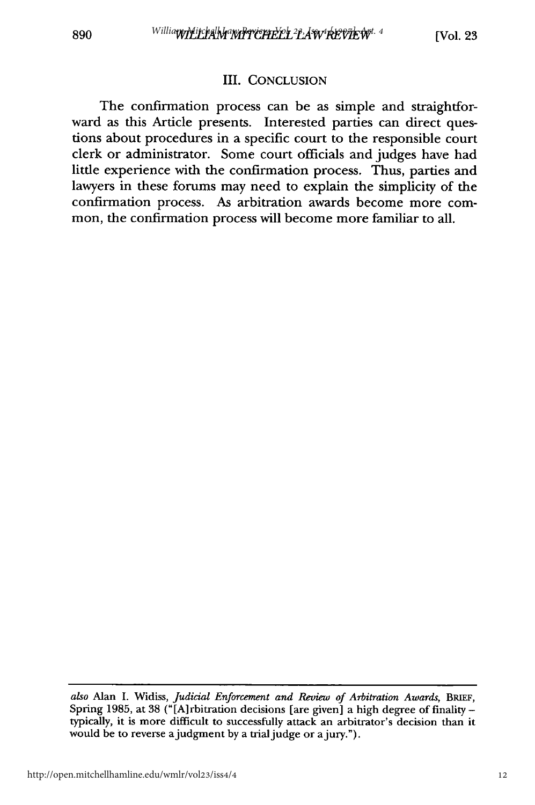#### III. CONCLUSION

The confirmation process can be as simple and straightforward as this Article presents. Interested parties can direct questions about procedures in a specific court to the responsible court clerk or administrator. Some court officials and judges have had little experience with the confirmation process. Thus, parties and lawyers in these forums may need to explain the simplicity of the confirmation process. As arbitration awards become more common, the confirmation process will become more familiar to all.

*also* Alan I. Widiss, *Judicial Enforcement and Review of Arbitration Awards,* **BRIEF,** Spring 1985, at 38 ("[A] rbitration decisions [are given] a high degree of finality  typically, it is more difficult to successfully attack an arbitrator's decision than it would be to reverse a judgment by a trial judge or a jury.").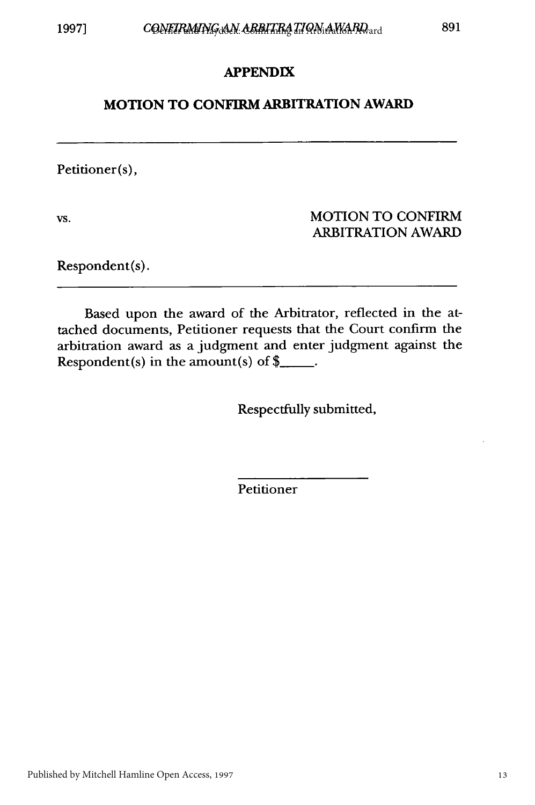#### **APPENDIX**

#### **MOTION TO CONFIRM ARBITRATION AWARD**

Petitioner(s),

vs. WOTION TO CONFIRM ARBITRATION AWARD

Respondent(s).

Based upon the award of the Arbitrator, reflected in the attached documents, Petitioner requests that the Court confirm the arbitration award as a judgment and enter judgment against the Respondent(s) in the amount(s) of  $\frac{2}{3}$ .

Respectfully submitted,

Petitioner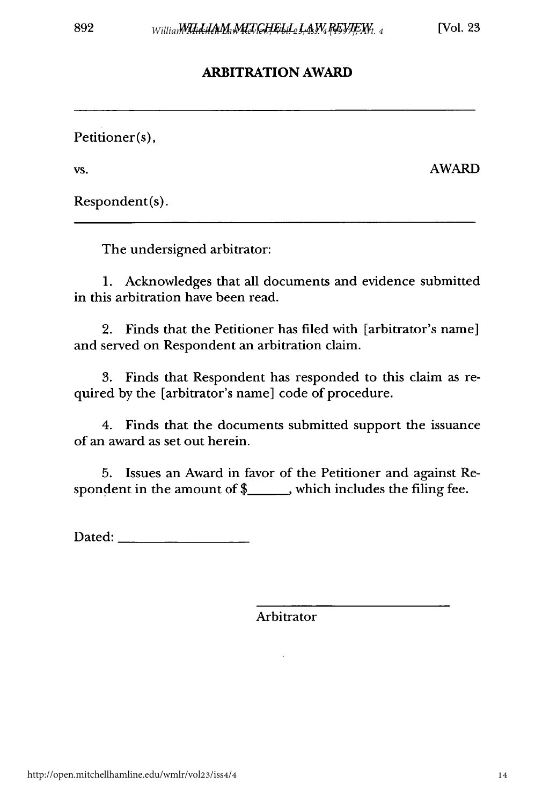## **ARBITRATION AWARD**

Petitioner(s),

vs. AWARD

Respondent(s).

The undersigned arbitrator:

1. Acknowledges that all documents and evidence submitted in this arbitration have been read.

2. Finds that the Petitioner has filed with [arbitrator's name] and served on Respondent an arbitration claim.

3. Finds that Respondent has responded to this claim as required by the [arbitrator's name] code of procedure.

4. Finds that the documents submitted support the issuance of an award as set out herein.

5. Issues an Award in favor of the Petitioner and against Respondent in the amount of \$\_\_\_\_\_\_, which includes the filing fee.

Dated:

Arbitrator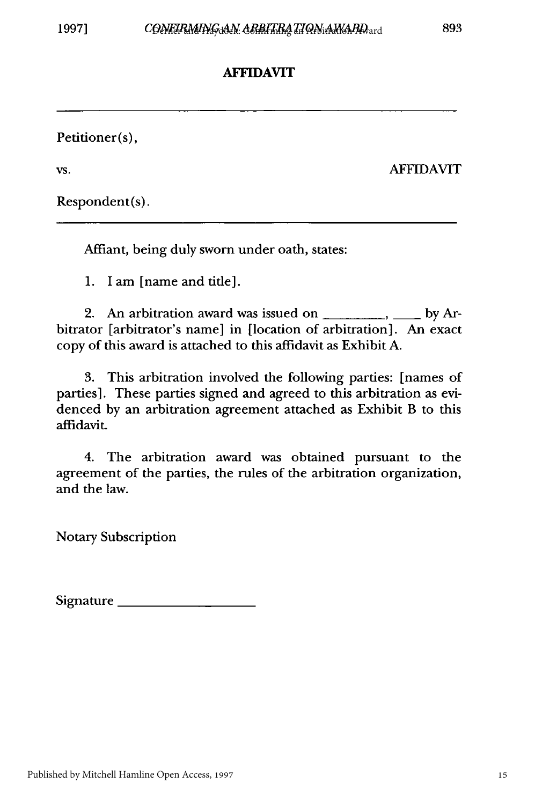## **AFFIDAVIT**

Petitioner(s),

vs. AFFIDAVIT

Respondent(s).

Affiant, being duly sworn under oath, states:

1. I am [name and title].

2. An arbitration award was issued on *.,* by Arbitrator [arbitrator's name] in [location of arbitration]. An exact copy of this award is attached to this affidavit as Exhibit A.

3. This arbitration involved the following parties: [names of parties]. These parties signed and agreed to this arbitration as evidenced by an arbitration agreement attached as Exhibit B to this affidavit.

4. The arbitration award was obtained pursuant to the agreement of the parties, the rules of the arbitration organization, and the law.

Notary Subscription

Signature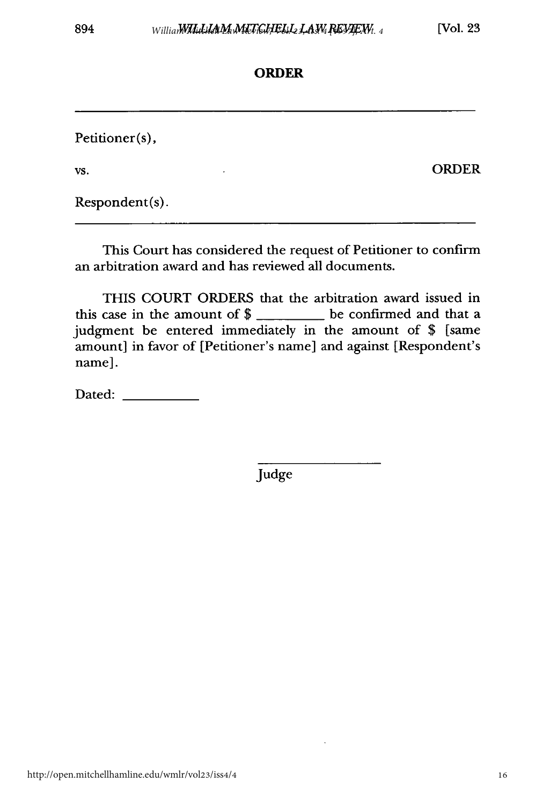## **ORDER**

Petitioner(s), **vs.** ORDER

Respondent(s).

This Court has considered the request of Petitioner to confirm an arbitration award and has reviewed all documents.

THIS COURT ORDERS that the arbitration award issued in this case in the amount of  $\frac{1}{2}$  be confirmed and that a judgment be entered immediately in the amount of \$ [same amount] in favor of [Petitioner's name] and against [Respondent's name].

Dated:

Judge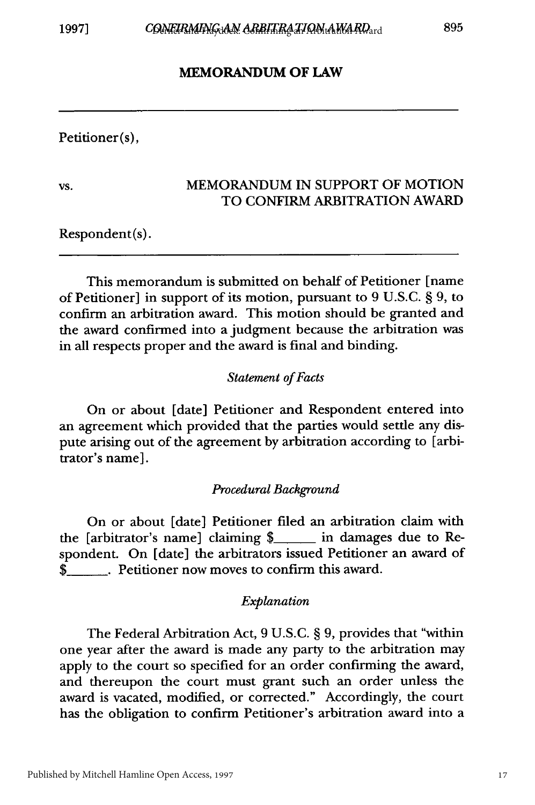#### **MEMORANDUM OF LAW**

Petitioner(s),

#### vs. MEMORANDUM IN SUPPORT OF MOTION TO CONFIRM ARBITRATION AWARD

Respondent(s).

This memorandum is submitted on behalf of Petitioner [name of Petitioner] in support of its motion, pursuant to 9 U.S.C. § 9, to confirm an arbitration award. This motion should be granted and the award confirmed into a judgment because the arbitration was in all respects proper and the award is final and binding.

#### *Statement of Facts*

On or about [date] Petitioner and Respondent entered into an agreement which provided that the parties would settle any dispute arising out of the agreement by arbitration according to [arbitrator's name].

#### *Procedural Background*

On or about [date] Petitioner filed an arbitration claim with the [arbitrator's name] claiming \$\_\_\_\_ in damages due to Respondent. On [date] the arbitrators issued Petitioner an award of \$\_ . Petitioner now moves to confirm this award.

#### *Explanation*

The Federal Arbitration Act, 9 U.S.C. § 9, provides that "within one year after the award is made any party to the arbitration may apply to the court so specified for an order confirming the award, and thereupon the court must grant such an order unless the award is vacated, modified, or corrected." Accordingly, the court has the obligation to confirm Petitioner's arbitration award into a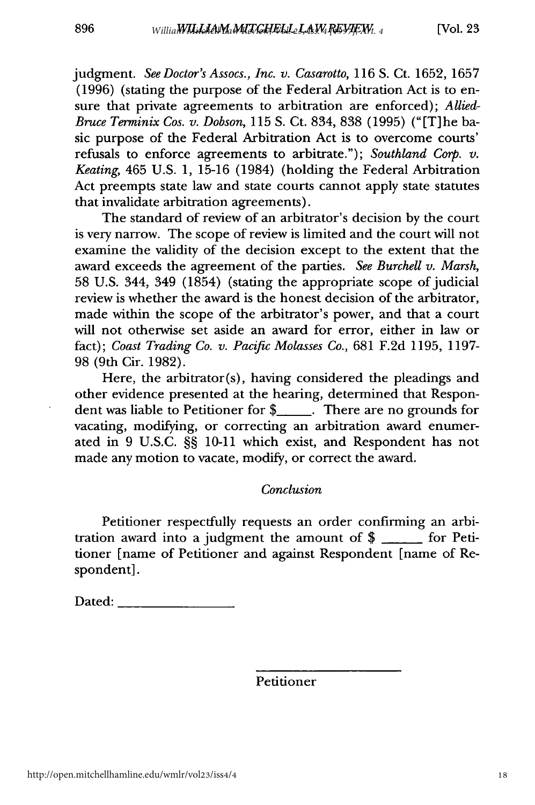judgment. *See Doctor's Assocs., Inc. v. Casarotto,* 116 S. Ct. 1652, 1657 (1996) (stating the purpose of the Federal Arbitration Act is to ensure that private agreements to arbitration are enforced); *Allied-Bruce Terminix Cos. v. Dobson,* 115 S. Ct. 834, 838 (1995) ("[T]he basic purpose of the Federal Arbitration Act is to overcome courts' refusals to enforce agreements to arbitrate."); *Southland Corp. v. Keating,* 465 U.S. 1, 15-16 (1984) (holding the Federal Arbitration Act preempts state law and state courts cannot apply state statutes that invalidate arbitration agreements).

The standard of review of an arbitrator's decision by the court is very narrow. The scope of review is limited and the court will not examine the validity of the decision except to the extent that the award exceeds the agreement of the parties. *See Burchell v. Marsh,* 58 U.S. 344, 349 (1854) (stating the appropriate scope of judicial review is whether the award is the honest decision of the arbitrator, made within the scope of the arbitrator's power, and that a court will not otherwise set aside an award for error, either in law or fact); *Coast Trading Co. v. Pacific Molasses Co.,* 681 F.2d 1195, 1197- 98 (9th Cir. 1982).

Here, the arbitrator(s), having considered the pleadings and other evidence presented at the hearing, determined that Respondent was liable to Petitioner for \$ **\_.** There are no grounds for vacating, modifying, or correcting an arbitration award enumerated in 9 U.S.C. §§ 10-11 which exist, and Respondent has not made any motion to vacate, modify, or correct the award.

#### *Conclusion*

Petitioner respectfully requests an order confirming an arbitration award into a judgment the amount of  $\frac{1}{2}$  for Petitioner [name of Petitioner and against Respondent [name of Respondent].

Dated: \_\_\_\_

Petitioner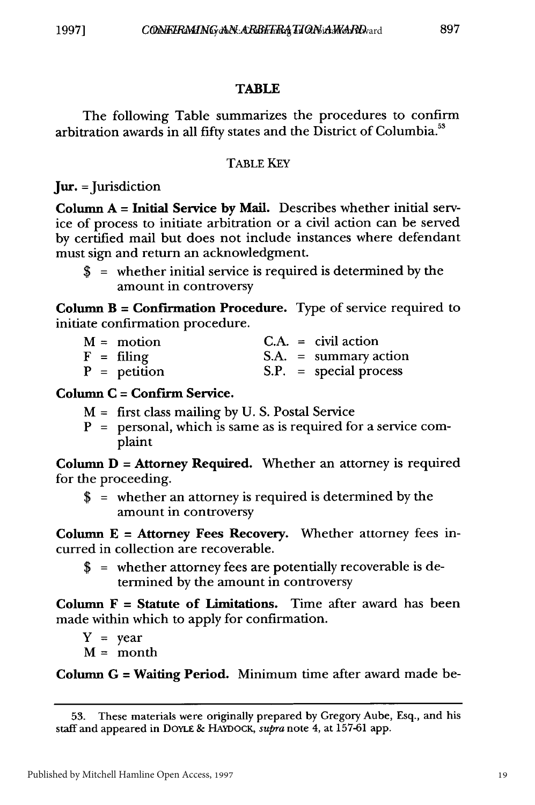## 897

## **TABLE**

The following Table summarizes the procedures to confirm arbitration awards in all fifty states and the District of Columbia.<sup>53</sup>

## TABLE KEY

**Jur.** = Jurisdiction

Column **A = Initial Service by** Mail. Describes whether initial service of process to initiate arbitration or a civil action can be served **by** certified mail but does not include instances where defendant must sign and return an acknowledgment.

\$ **=** whether initial service is required is determined **by** the amount in controversy

Column B **=** Confirmation Procedure. Type of service required to initiate confirmation procedure.

| $M = motion$      |  | $C.A. = civil action$    |
|-------------------|--|--------------------------|
| $F = \n  filling$ |  | $S.A. = summary action$  |
| $P =$ petition    |  | $S.P.$ = special process |

## Column **C = Confirm Service.**

- M **=** first class mailing **by U. S.** Postal Service
- P **=** personal, which is same as is required for a service complaint

Column **D =** Attorney Required. Whether an attorney is required for the proceeding.

\$ **=** whether an attorney is required is determined **by** the amount in controversy

Column **E =** Attorney Fees Recovery. Whether attorney fees incurred in collection are recoverable.

\$ **=** whether attorney fees are potentially recoverable is determined **by** the amount in controversy

Column F **=** Statute of Limitations. Time after award has been made within which to apply for confirmation.

- $Y = year$
- M **=** month

Column **G** *=* **Waiting** Period. Minimum time after award made be-

**<sup>53.</sup>** These materials were originally prepared **by** Gregory Aube, Esq., and his staff and appeared in DOYLE **&** HAYDocK, *supra* note 4, at **157-61** app.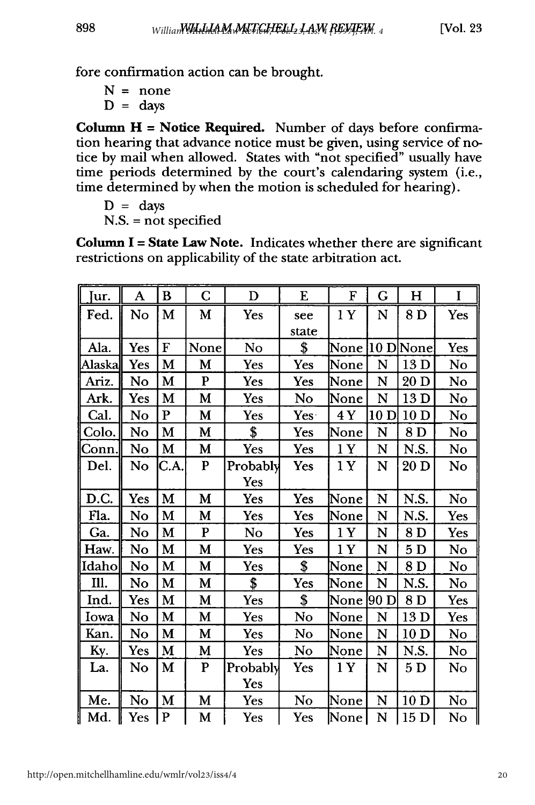fore confirmation action can be brought.

 $N = none$  $D = days$ 

898

Column  $H = Notice Required.$  Number of days before confirmation hearing that advance notice must be given, using service of notice by mail when allowed. States with "not specified" usually have time periods determined by the court's calendaring system (i.e., time determined by when the motion is scheduled for hearing).

```
D = \text{days}
```
N.S. = not specified

Column **I** = **State Law** Note. Indicates whether there are significant restrictions on applicability of the state arbitration act.

| Jur.   | A   | B           | С         | D        | E     | F    | G    | H               | I   |
|--------|-----|-------------|-----------|----------|-------|------|------|-----------------|-----|
| Fed.   | No  | M           | M         | Yes      | see   | 1Y   | N    | 8 D             | Yes |
|        |     |             |           |          | state |      |      |                 |     |
| Ala.   | Yes | $\mathbf F$ | None      | No       | \$    | None |      | $10$ D None     | Yes |
| Alaska | Yes | M           | M         | Yes      | Yes   | None | N    | 13 D            | No  |
| Ariz.  | No  | M           | ${\bf P}$ | Yes      | Yes   | None | N    | 20D             | No  |
| Ark.   | Yes | М           | M         | Yes      | No    | None | N    | 13 D            | No  |
| Cal.   | No  | P           | M         | Yes      | Yes.  | 4 Y  | 10D  | 10 <sub>D</sub> | No  |
| Colo.  | No  | M           | M         | \$       | Yes   | None | N    | 8 D             | No  |
| Conn.  | No  | M           | M         | Yes      | Yes   | 1Y   | N    | N.S.            | No  |
| Del.   | No  | C.A.        | ${\bf P}$ | Probably | Yes   | 1Y   | N    | 20D             | No  |
|        |     |             |           | Yes      |       |      |      |                 |     |
| D.C.   | Yes | M           | M         | Yes      | Yes   | None | N    | N.S.            | No  |
| Fla.   | No  | M           | M         | Yes      | Yes   | None | N    | N.S.            | Yes |
| Ga.    | No  | M           | ${\bf P}$ | No       | Yes   | 1Y   | N    | 8D              | Yes |
| Haw.   | No  | M           | M         | Yes      | Yes   | 1 Y  | N    | 5D              | No  |
| Idaho  | No  | M           | M         | Yes      | \$    | None | N    | 8D              | No  |
| Ill.   | No  | M           | M         | \$       | Yes   | None | N    | N.S.            | No  |
| Ind.   | Yes | M           | M         | Yes      | \$    | None | 90 D | 8 D             | Yes |
| Iowa   | No  | M           | M         | Yes      | No    | None | N    | 13 D            | Yes |
| Kan.   | No  | M           | M         | Yes      | No    | None | N    | 10 <sub>D</sub> | No  |
| Ky.    | Yes | M           | M         | Yes      | No    | None | N    | N.S.            | No  |
| La.    | No  | М           | P         | Probably | Yes   | 1Y   | N    | 5 <sub>D</sub>  | No  |
|        |     |             |           | Yes      |       |      |      |                 |     |
| Me.    | No  | M           | M         | Yes      | No    | None | N    | 10 <sub>D</sub> | No  |
| Md.    | Yes | P           | M         | Yes      | Yes   | None | N    | 15 D            | No  |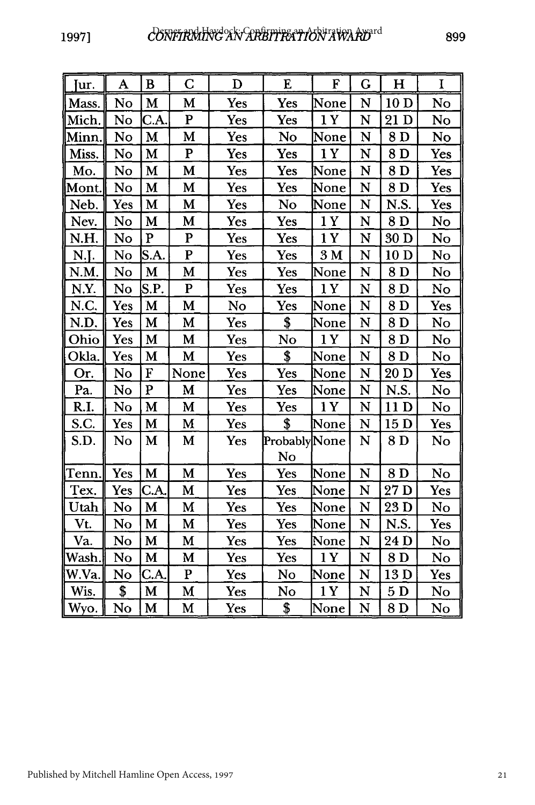| Jur.  | A   | B            | $\mathbf C$    | D   | E             | F              | G | $\mathbf H$     | I   |
|-------|-----|--------------|----------------|-----|---------------|----------------|---|-----------------|-----|
| Mass. | No  | M            | M              | Yes | Yes           | None           | N | 10 <sub>D</sub> | No  |
| Mich. | No  | C.A.         | $\overline{P}$ | Yes | Yes           | 1Y             | N | 21 D            | No  |
| Minn. | No  | M            | M              | Yes | No            | None           | N | 8D              | No  |
| Miss. | No  | M            | $\mathbf{P}$   | Yes | Yes           | 1Y             | N | 8D              | Yes |
| Mo.   | No  | M            | M              | Yes | Yes           | None           | N | 8D              | Yes |
| Mont. | No  | M            | M              | Yes | Yes           | None           | N | 8 D             | Yes |
| Neb.  | Yes | M            | M              | Yes | No            | None           | N | N.S.            | Yes |
| Nev.  | No  | M            | M              | Yes | Yes           | 1Y             | N | 8D              | No  |
| N.H.  | No  | $\mathbf{P}$ | $\mathbf P$    | Yes | Yes           | 1Y             | N | 30 D            | No  |
| N.J.  | No  | S.A.         | $\bf P$        | Yes | Yes           | 3 <sub>M</sub> | N | 10 <sub>D</sub> | No  |
| N.M.  | No  | M            | M              | Yes | Yes           | None           | N | 8 D             | No  |
| N.Y.  | No  | S.P.         | $\mathbf P$    | Yes | <b>Yes</b>    | 1 Y            | N | 8D              | No  |
| N.C.  | Yes | M            | $\mathbf M$    | No  | Yes           | None           | N | 8 D             | Yes |
| N.D.  | Yes | M            | M              | Yes | \$            | None           | N | 8D              | No  |
| Ohio  | Yes | M            | M              | Yes | No            | 1Y             | N | 8D              | No  |
| Okla. | Yes | M            | M              | Yes | \$            | None           | N | 8D              | No  |
| Or.   | No  | ${\bf F}$    | None           | Yes | Yes           | None           | N | 20D             | Yes |
| Pa.   | No  | ${\bf P}$    | M              | Yes | Yes           | None           | N | N.S.            | No  |
| R.I.  | No  | M            | M              | Yes | Yes           | 1 Y            | N | 11 D            | No  |
| S.C.  | Yes | M            | M              | Yes | \$            | None           | N | 15 D            | Yes |
| S.D.  | No  | $\mathbf M$  | M              | Yes | Probably None |                | N | 8D              | No  |
|       |     |              |                |     | No            |                |   |                 |     |
| Tenn. | Yes | M            | $\mathbf M$    | Yes | Yes           | None           | N | 8D              | No  |
| Tex.  | Yes | C.A.         | M              | Yes | Yes           | None           | N | 27 D            | Yes |
| Utah  | No  | M            | M              | Yes | Yes           | None           | N | 23 D            | No  |
| Vt.   | No  | M            | M              | Yes | Yes           | None           | N | N.S.            | Yes |
| Va.   | No  | M            | M              | Yes | Yes           | None           | N | 24 D            | No  |
| Wash. | No  | M            | M              | Yes | Yes           | 1Y             | N | 8D              | No  |
| W.Va. | No  | C.A.         | ${\bf P}$      | Yes | No            | None           | N | 13D             | Yes |
| Wis.  | \$  | M            | M              | Yes | No            | 1Y             | N | 5D              | No  |
| Wyo.  | No  | M            | M              | Yes | \$            | None           | N | 8D              | No  |